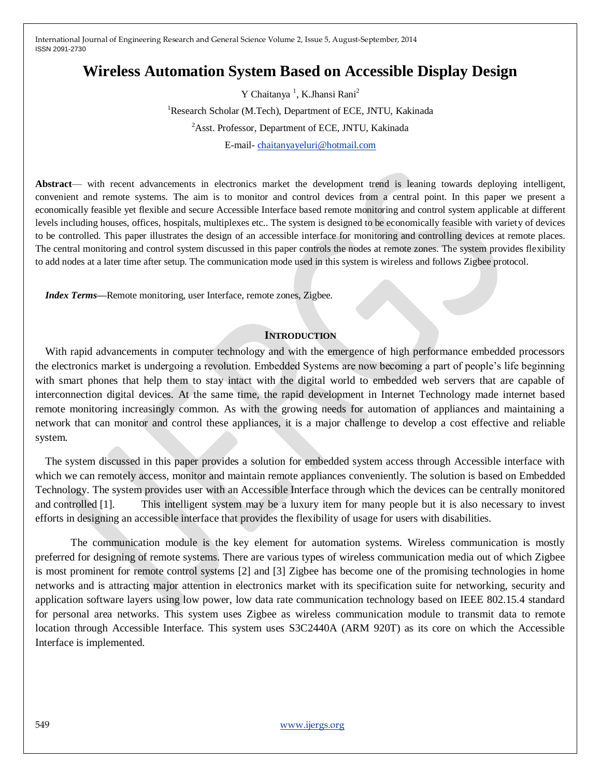# **Wireless Automation System Based on Accessible Display Design**

Y Chaitanya<sup>1</sup>, K.Jhansi Rani<sup>2</sup> <sup>1</sup>Research Scholar (M.Tech), Department of ECE, JNTU, Kakinada <sup>2</sup>Asst. Professor, Department of ECE, JNTU, Kakinada E-mail- [chaitanyayeluri@hotmail.com](mailto:chaitanyayeluri@hotmail.com)

**Abstract**— with recent advancements in electronics market the development trend is leaning towards deploying intelligent, convenient and remote systems. The aim is to monitor and control devices from a central point. In this paper we present a economically feasible yet flexible and secure Accessible Interface based remote monitoring and control system applicable at different levels including houses, offices, hospitals, multiplexes etc.. The system is designed to be economically feasible with variety of devices to be controlled. This paper illustrates the design of an accessible interface for monitoring and controlling devices at remote places. The central monitoring and control system discussed in this paper controls the nodes at remote zones. The system provides flexibility to add nodes at a later time after setup. The communication mode used in this system is wireless and follows Zigbee protocol.

*Index Terms***—**Remote monitoring, user Interface, remote zones, Zigbee.

## **INTRODUCTION**

With rapid advancements in computer technology and with the emergence of high performance embedded processors the electronics market is undergoing a revolution. Embedded Systems are now becoming a part of people's life beginning with smart phones that help them to stay intact with the digital world to embedded web servers that are capable of interconnection digital devices. At the same time, the rapid development in Internet Technology made internet based remote monitoring increasingly common. As with the growing needs for automation of appliances and maintaining a network that can monitor and control these appliances, it is a major challenge to develop a cost effective and reliable system.

The system discussed in this paper provides a solution for embedded system access through Accessible interface with which we can remotely access, monitor and maintain remote appliances conveniently. The solution is based on Embedded Technology. The system provides user with an Accessible Interface through which the devices can be centrally monitored and controlled [1]. This intelligent system may be a luxury item for many people but it is also necessary to invest efforts in designing an accessible interface that provides the flexibility of usage for users with disabilities.

The communication module is the key element for automation systems. Wireless communication is mostly preferred for designing of remote systems. There are various types of wireless communication media out of which Zigbee is most prominent for remote control systems [2] and [3] Zigbee has become one of the promising technologies in home networks and is attracting major attention in electronics market with its specification suite for networking, security and application software layers using low power, low data rate communication technology based on IEEE 802.15.4 standard for personal area networks. This system uses Zigbee as wireless communication module to transmit data to remote location through Accessible Interface. This system uses S3C2440A (ARM 920T) as its core on which the Accessible Interface is implemented.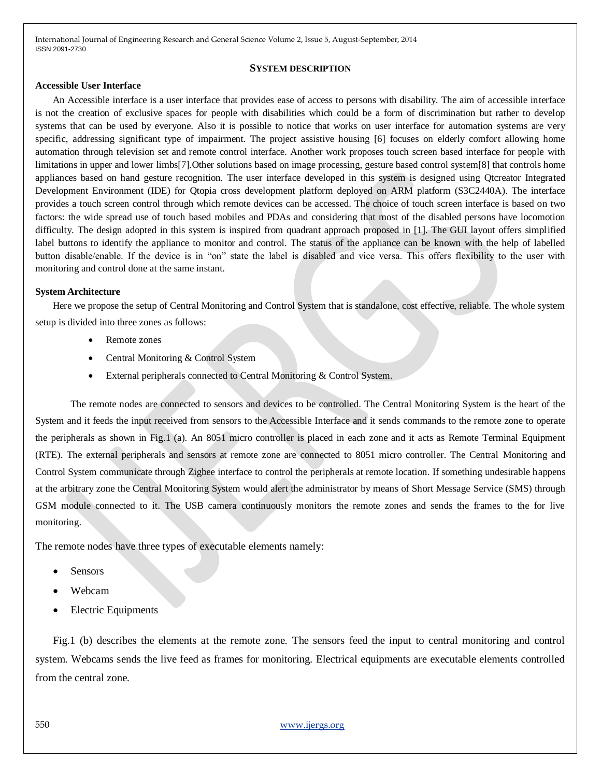#### **SYSTEM DESCRIPTION**

### **Accessible User Interface**

 An Accessible interface is a user interface that provides ease of access to persons with disability. The aim of accessible interface is not the creation of exclusive spaces for people with disabilities which could be a form of discrimination but rather to develop systems that can be used by everyone. Also it is possible to notice that works on user interface for automation systems are very specific, addressing significant type of impairment. The project assistive housing [6] focuses on elderly comfort allowing home automation through television set and remote control interface. Another work proposes touch screen based interface for people with limitations in upper and lower limbs[7].Other solutions based on image processing, gesture based control system[8] that controls home appliances based on hand gesture recognition. The user interface developed in this system is designed using Qtcreator Integrated Development Environment (IDE) for Qtopia cross development platform deployed on ARM platform (S3C2440A). The interface provides a touch screen control through which remote devices can be accessed. The choice of touch screen interface is based on two factors: the wide spread use of touch based mobiles and PDAs and considering that most of the disabled persons have locomotion difficulty. The design adopted in this system is inspired from quadrant approach proposed in [1]. The GUI layout offers simplified label buttons to identify the appliance to monitor and control. The status of the appliance can be known with the help of labelled button disable/enable. If the device is in "on" state the label is disabled and vice versa. This offers flexibility to the user with monitoring and control done at the same instant.

#### **System Architecture**

 Here we propose the setup of Central Monitoring and Control System that is standalone, cost effective, reliable. The whole system setup is divided into three zones as follows:

- Remote zones
- Central Monitoring & Control System
- External peripherals connected to Central Monitoring & Control System.

The remote nodes are connected to sensors and devices to be controlled. The Central Monitoring System is the heart of the System and it feeds the input received from sensors to the Accessible Interface and it sends commands to the remote zone to operate the peripherals as shown in Fig.1 (a). An 8051 micro controller is placed in each zone and it acts as Remote Terminal Equipment (RTE). The external peripherals and sensors at remote zone are connected to 8051 micro controller. The Central Monitoring and Control System communicate through Zigbee interface to control the peripherals at remote location. If something undesirable happens at the arbitrary zone the Central Monitoring System would alert the administrator by means of Short Message Service (SMS) through GSM module connected to it. The USB camera continuously monitors the remote zones and sends the frames to the for live monitoring.

The remote nodes have three types of executable elements namely:

- **Sensors**
- Webcam
- Electric Equipments

Fig.1 (b) describes the elements at the remote zone. The sensors feed the input to central monitoring and control system. Webcams sends the live feed as frames for monitoring. Electrical equipments are executable elements controlled from the central zone.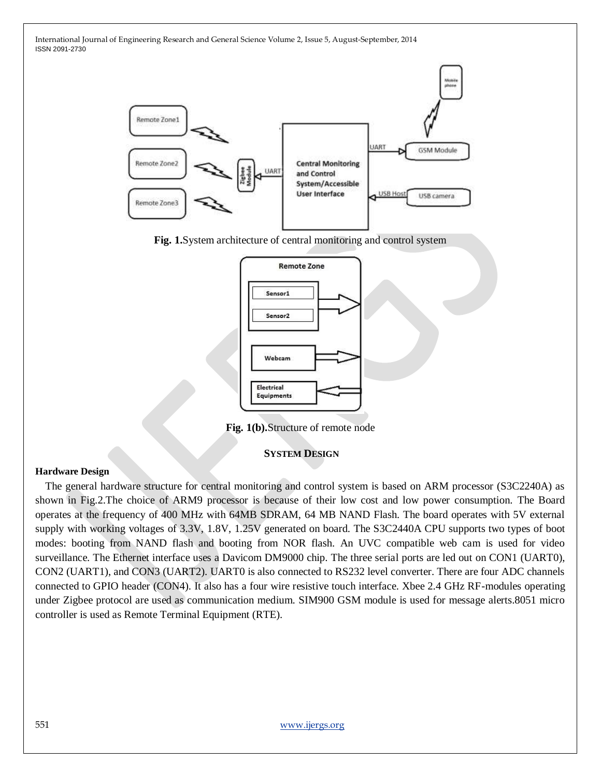

**Fig. 1.**System architecture of central monitoring and control system



**Fig. 1(b).**Structure of remote node

# **SYSTEM DESIGN**

## **Hardware Design**

The general hardware structure for central monitoring and control system is based on ARM processor (S3C2240A) as shown in Fig.2.The choice of ARM9 processor is because of their low cost and low power consumption. The Board operates at the frequency of 400 MHz with 64MB SDRAM, 64 MB NAND Flash. The board operates with 5V external supply with working voltages of 3.3V, 1.8V, 1.25V generated on board. The S3C2440A CPU supports two types of boot modes: booting from NAND flash and booting from NOR flash. An UVC compatible web cam is used for video surveillance. The Ethernet interface uses a Davicom DM9000 chip. The three serial ports are led out on CON1 (UART0), CON2 (UART1), and CON3 (UART2). UART0 is also connected to RS232 level converter. There are four ADC channels connected to GPIO header (CON4). It also has a four wire resistive touch interface. Xbee 2.4 GHz RF-modules operating under Zigbee protocol are used as communication medium. SIM900 GSM module is used for message alerts.8051 micro controller is used as Remote Terminal Equipment (RTE).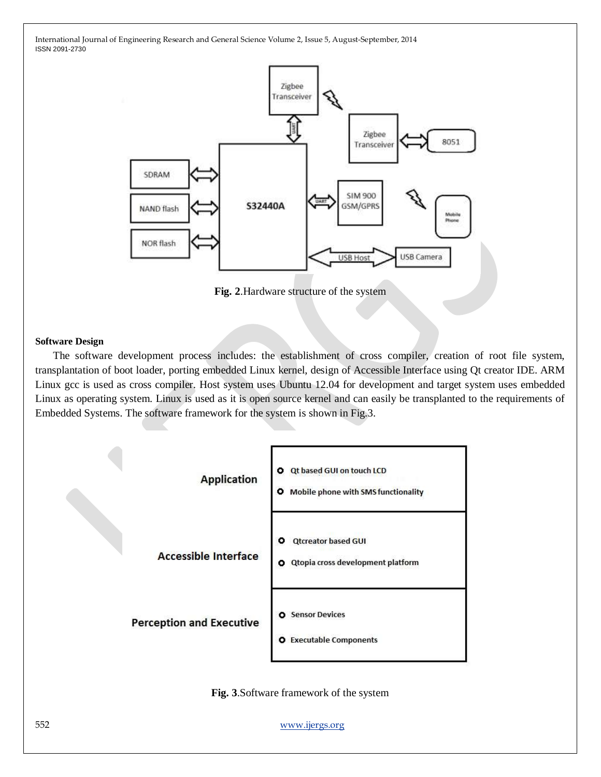

**Fig. 2**.Hardware structure of the system

#### **Software Design**

The software development process includes: the establishment of cross compiler, creation of root file system, transplantation of boot loader, porting embedded Linux kernel, design of Accessible Interface using Qt creator IDE. ARM Linux gcc is used as cross compiler. Host system uses Ubuntu 12.04 for development and target system uses embedded Linux as operating system. Linux is used as it is open source kernel and can easily be transplanted to the requirements of Embedded Systems. The software framework for the system is shown in Fig.3.



**Fig. 3**.Software framework of the system

552 [www.ijergs.org](http://www.ijergs.org/)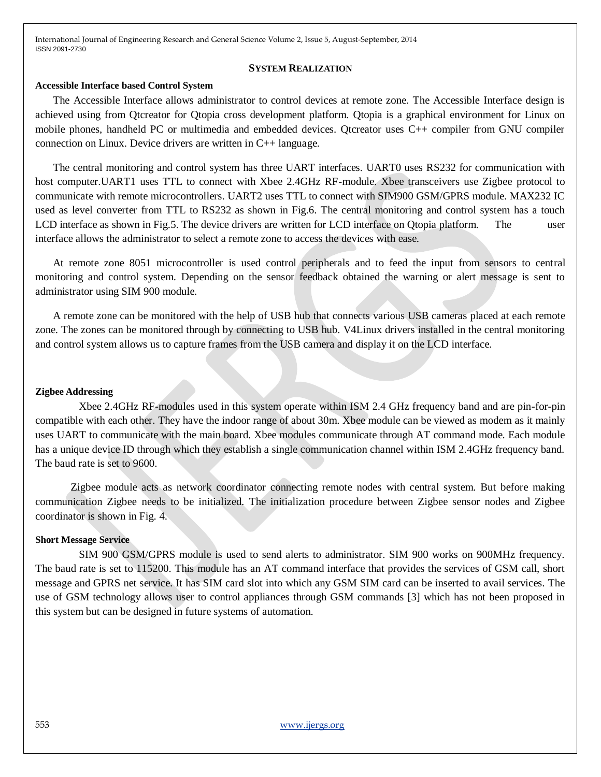#### **SYSTEM REALIZATION**

### **Accessible Interface based Control System**

The Accessible Interface allows administrator to control devices at remote zone. The Accessible Interface design is achieved using from Qtcreator for Qtopia cross development platform. Qtopia is a graphical environment for Linux on mobile phones, handheld PC or multimedia and embedded devices. Qtcreator uses C++ compiler from GNU compiler connection on Linux. Device drivers are written in C++ language.

The central monitoring and control system has three UART interfaces. UART0 uses RS232 for communication with host computer.UART1 uses TTL to connect with Xbee 2.4GHz RF-module. Xbee transceivers use Zigbee protocol to communicate with remote microcontrollers. UART2 uses TTL to connect with SIM900 GSM/GPRS module. MAX232 IC used as level converter from TTL to RS232 as shown in Fig.6. The central monitoring and control system has a touch LCD interface as shown in Fig.5. The device drivers are written for LCD interface on Qtopia platform. The user interface allows the administrator to select a remote zone to access the devices with ease.

At remote zone 8051 microcontroller is used control peripherals and to feed the input from sensors to central monitoring and control system. Depending on the sensor feedback obtained the warning or alert message is sent to administrator using SIM 900 module.

A remote zone can be monitored with the help of USB hub that connects various USB cameras placed at each remote zone. The zones can be monitored through by connecting to USB hub. V4Linux drivers installed in the central monitoring and control system allows us to capture frames from the USB camera and display it on the LCD interface.

### **Zigbee Addressing**

 Xbee 2.4GHz RF-modules used in this system operate within ISM 2.4 GHz frequency band and are pin-for-pin compatible with each other. They have the indoor range of about 30m. Xbee module can be viewed as modem as it mainly uses UART to communicate with the main board. Xbee modules communicate through AT command mode. Each module has a unique device ID through which they establish a single communication channel within ISM 2.4GHz frequency band. The baud rate is set to 9600.

Zigbee module acts as network coordinator connecting remote nodes with central system. But before making communication Zigbee needs to be initialized. The initialization procedure between Zigbee sensor nodes and Zigbee coordinator is shown in Fig. 4.

## **Short Message Service**

 SIM 900 GSM/GPRS module is used to send alerts to administrator. SIM 900 works on 900MHz frequency. The baud rate is set to 115200. This module has an AT command interface that provides the services of GSM call, short message and GPRS net service. It has SIM card slot into which any GSM SIM card can be inserted to avail services. The use of GSM technology allows user to control appliances through GSM commands [3] which has not been proposed in this system but can be designed in future systems of automation.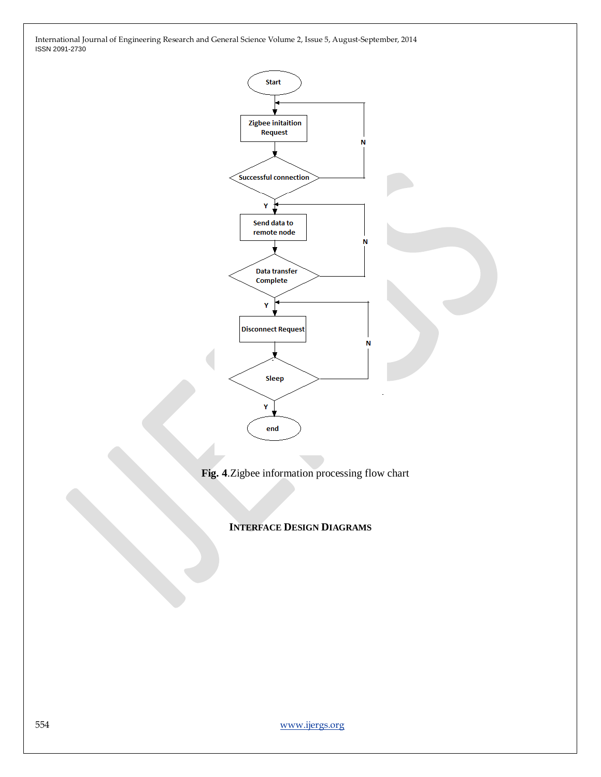

**Fig. 4**.Zigbee information processing flow chart

# **INTERFACE DESIGN DIAGRAMS**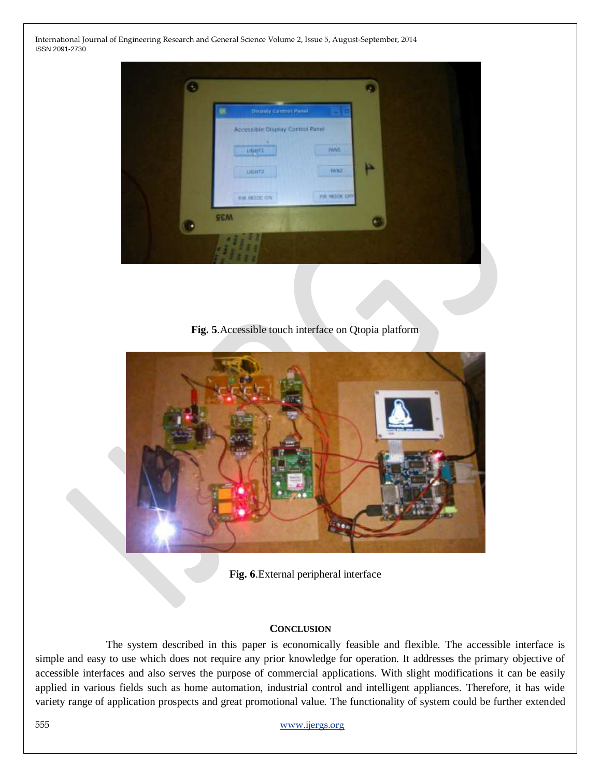| 骤 | Disputy Control Panel                             |                      |   |  |
|---|---------------------------------------------------|----------------------|---|--|
|   | Accessible District Control Panel<br><b>UGHT1</b> | PANS.                |   |  |
|   | DER72                                             | <b>FANT</b>          | Þ |  |
|   | <b>IN MODE ON</b>                                 | <b>PUL MODE CITY</b> |   |  |

**Fig. 5**.Accessible touch interface on Qtopia platform



**Fig. 6**.External peripheral interface

## **CONCLUSION**

The system described in this paper is economically feasible and flexible. The accessible interface is simple and easy to use which does not require any prior knowledge for operation. It addresses the primary objective of accessible interfaces and also serves the purpose of commercial applications. With slight modifications it can be easily applied in various fields such as home automation, industrial control and intelligent appliances. Therefore, it has wide variety range of application prospects and great promotional value. The functionality of system could be further extended